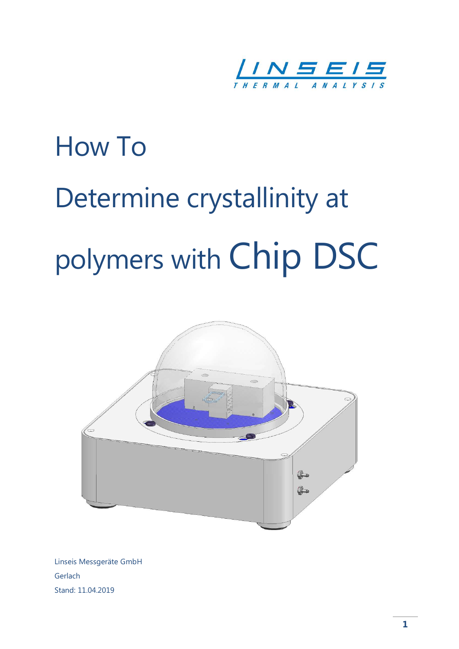

# How To Determine crystallinity at polymers with Chip DSC



Linseis Messgeräte GmbH Gerlach Stand: 11.04.2019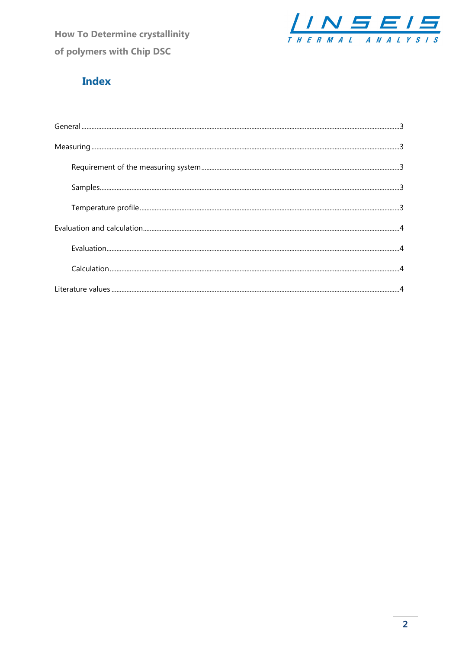**How To Determine crystallinity** of polymers with Chip DSC



# **Index**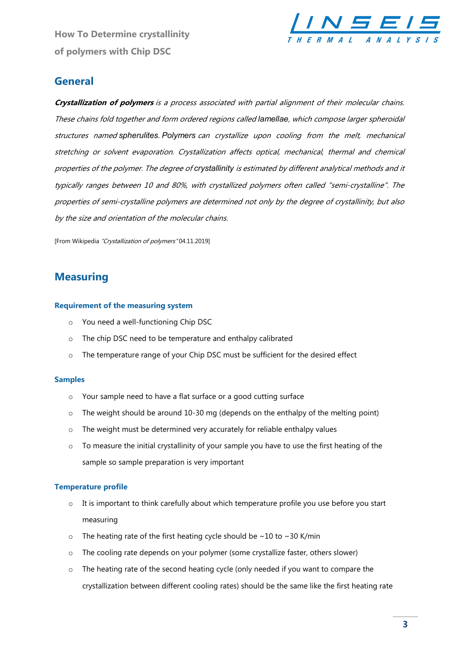How To Determine crystallinity of polymers with Chip DSC



## **General**

Crystallization of polymers is a process associated with partial alignment of their molecular chains. These chains fold together and form ordered regions called lamellae, which compose larger spheroidal structures named spherulites. Polymers can crystallize upon cooling from the melt, mechanical stretching or solvent evaporation. Crystallization affects optical, mechanical, thermal and chemical properties of the polymer. The degree of crystallinity is estimated by different analytical methods and it typically ranges between 10 and 80%, with crystallized polymers often called "semi-crystalline". The properties of semi-crystalline polymers are determined not only by the degree of crystallinity, but also by the size and orientation of the molecular chains.

[From Wikipedia "Crystallization of polymers" 04.11.2019]

## **Measuring**

#### Requirement of the measuring system

- o You need a well-functioning Chip DSC
- o The chip DSC need to be temperature and enthalpy calibrated
- o The temperature range of your Chip DSC must be sufficient for the desired effect

#### Samples

- o Your sample need to have a flat surface or a good cutting surface
- $\circ$  The weight should be around 10-30 mg (depends on the enthalpy of the melting point)
- o The weight must be determined very accurately for reliable enthalpy values
- $\circ$  To measure the initial crystallinity of your sample you have to use the first heating of the sample so sample preparation is very important

#### Temperature profile

- $\circ$  It is important to think carefully about which temperature profile you use before you start measuring
- $\circ$  The heating rate of the first heating cycle should be ~10 to ~30 K/min
- o The cooling rate depends on your polymer (some crystallize faster, others slower)
- $\circ$  The heating rate of the second heating cycle (only needed if you want to compare the crystallization between different cooling rates) should be the same like the first heating rate